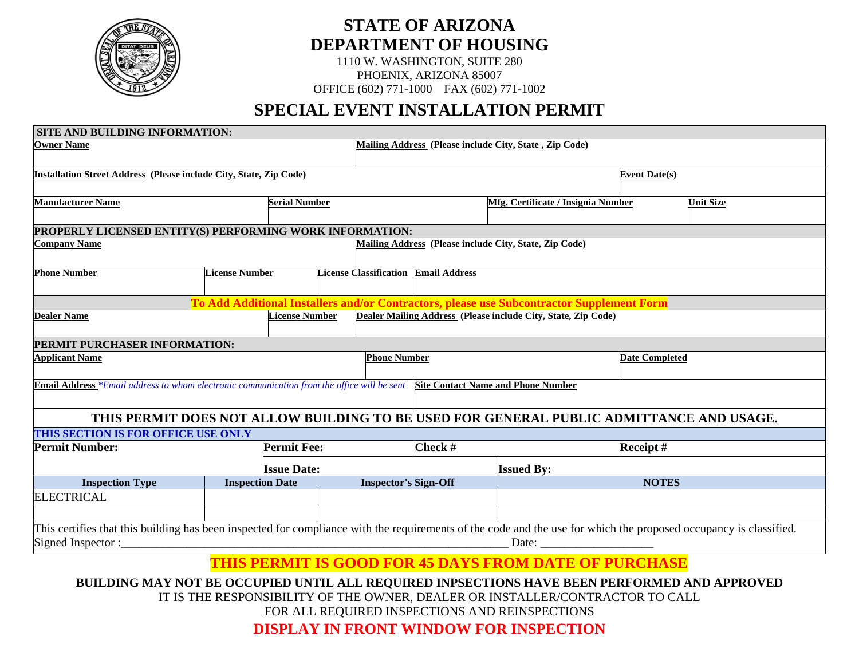

# **STATE OF ARIZONA DEPARTMENT OF HOUSING**

1110 W. WASHINGTON, SUITE 280 PHOENIX, ARIZONA 85007 OFFICE (602) 771-1000 FAX (602) 771-1002

## **SPECIAL EVENT INSTALLATION PERMIT**

| <b>SITE AND BUILDING INFORMATION:</b>                                                      |                        |                               |                                              |                                                                                                                                                                                                                                                                                                                                                                                                     |                  |
|--------------------------------------------------------------------------------------------|------------------------|-------------------------------|----------------------------------------------|-----------------------------------------------------------------------------------------------------------------------------------------------------------------------------------------------------------------------------------------------------------------------------------------------------------------------------------------------------------------------------------------------------|------------------|
| <b>Owner Name</b>                                                                          |                        |                               |                                              | Mailing Address (Please include City, State, Zip Code)                                                                                                                                                                                                                                                                                                                                              |                  |
| Installation Street Address (Please include City, State, Zip Code)                         |                        |                               |                                              | <b>Event Date(s)</b>                                                                                                                                                                                                                                                                                                                                                                                |                  |
| <b>Manufacturer Name</b>                                                                   | <b>Serial Number</b>   |                               |                                              | <b>Mfg. Certificate / Insignia Number</b>                                                                                                                                                                                                                                                                                                                                                           | <b>Unit Size</b> |
| PROPERLY LICENSED ENTITY(S) PERFORMING WORK INFORMATION:                                   |                        |                               |                                              |                                                                                                                                                                                                                                                                                                                                                                                                     |                  |
| Company Name                                                                               |                        |                               |                                              | Mailing Address (Please include City, State, Zip Code)                                                                                                                                                                                                                                                                                                                                              |                  |
| <b>Phone Number</b>                                                                        | <b>License Number</b>  | <b>License Classification</b> | <b>Email Address</b>                         |                                                                                                                                                                                                                                                                                                                                                                                                     |                  |
|                                                                                            |                        |                               |                                              | To Add Additional Installers and/or Contractors, please use Subcontractor Supplement Form                                                                                                                                                                                                                                                                                                           |                  |
| <b>Dealer Name</b>                                                                         | <b>License Number</b>  |                               |                                              | Dealer Mailing Address (Please include City, State, Zip Code)                                                                                                                                                                                                                                                                                                                                       |                  |
| PERMIT PURCHASER INFORMATION:                                                              |                        |                               |                                              |                                                                                                                                                                                                                                                                                                                                                                                                     |                  |
| <b>Applicant Name</b>                                                                      |                        |                               | <b>Phone Number</b><br><b>Date Completed</b> |                                                                                                                                                                                                                                                                                                                                                                                                     |                  |
| Email Address *Email address to whom electronic communication from the office will be sent |                        |                               |                                              | <b>Site Contact Name and Phone Number</b>                                                                                                                                                                                                                                                                                                                                                           |                  |
|                                                                                            |                        |                               |                                              | THIS PERMIT DOES NOT ALLOW BUILDING TO BE USED FOR GENERAL PUBLIC ADMITTANCE AND USAGE.                                                                                                                                                                                                                                                                                                             |                  |
| THIS SECTION IS FOR OFFICE USE ONLY                                                        |                        |                               |                                              |                                                                                                                                                                                                                                                                                                                                                                                                     |                  |
| <b>Permit Number:</b>                                                                      | <b>Permit Fee:</b>     |                               | Check #                                      | Receipt#                                                                                                                                                                                                                                                                                                                                                                                            |                  |
|                                                                                            | <b>Issue Date:</b>     |                               |                                              | <b>Issued By:</b>                                                                                                                                                                                                                                                                                                                                                                                   |                  |
| <b>Inspection Type</b>                                                                     | <b>Inspection Date</b> | <b>Inspector's Sign-Off</b>   |                                              |                                                                                                                                                                                                                                                                                                                                                                                                     | <b>NOTES</b>     |
| <b>ELECTRICAL</b>                                                                          |                        |                               |                                              |                                                                                                                                                                                                                                                                                                                                                                                                     |                  |
|                                                                                            |                        |                               |                                              |                                                                                                                                                                                                                                                                                                                                                                                                     |                  |
| Signed Inspector:                                                                          |                        |                               |                                              | This certifies that this building has been inspected for compliance with the requirements of the code and the use for which the proposed occupancy is classified.<br>Date: the contract of the contract of the contract of the contract of the contract of the contract of the contract of the contract of the contract of the contract of the contract of the contract of the contract of the cont |                  |
|                                                                                            |                        |                               |                                              | <b>THIS PERMIT IS GOOD FOR 45 DAYS FROM DATE OF PURCHASE</b>                                                                                                                                                                                                                                                                                                                                        |                  |
|                                                                                            |                        |                               |                                              | BUILDING MAY NOT BE OCCUPIED UNTIL ALL REQUIRED INPSECTIONS HAVE BEEN PERFORMED AND APPROVED                                                                                                                                                                                                                                                                                                        |                  |

IT IS THE RESPONSIBILITY OF THE OWNER, DEALER OR INSTALLER/CONTRACTOR TO CALL

FOR ALL REQUIRED INSPECTIONS AND REINSPECTIONS

**DISPLAY IN FRONT WINDOW FOR INSPECTION**